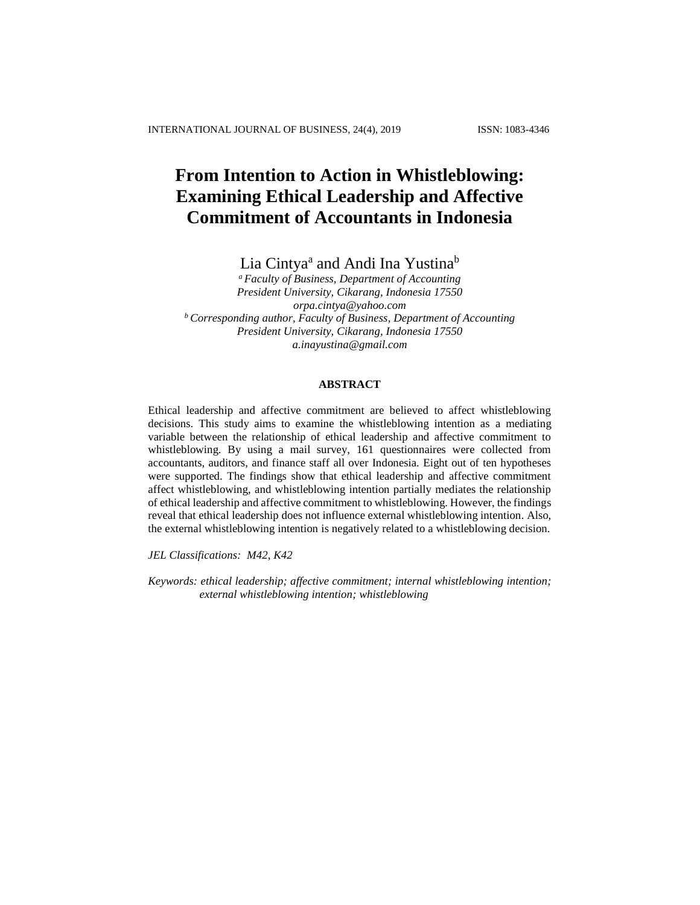# **From Intention to Action in Whistleblowing: Examining Ethical Leadership and Affective Commitment of Accountants in Indonesia**

Lia Cintya<sup>a</sup> and Andi Ina Yustina<sup>b</sup>

*<sup>a</sup> Faculty of Business, Department of Accounting President University, Cikarang, Indonesia 17550 [orpa.cintya@yahoo.com](mailto:orpa.cintya@yahoo.com) <sup>b</sup> Corresponding author, Faculty of Business, Department of Accounting President University, Cikarang, Indonesia 17550 [a.inayustina@gmail.com](mailto:a.inayustina@gmail.com)*

## **ABSTRACT**

Ethical leadership and affective commitment are believed to affect whistleblowing decisions. This study aims to examine the whistleblowing intention as a mediating variable between the relationship of ethical leadership and affective commitment to whistleblowing. By using a mail survey, 161 questionnaires were collected from accountants, auditors, and finance staff all over Indonesia. Eight out of ten hypotheses were supported. The findings show that ethical leadership and affective commitment affect whistleblowing, and whistleblowing intention partially mediates the relationship of ethical leadership and affective commitment to whistleblowing. However, the findings reveal that ethical leadership does not influence external whistleblowing intention. Also, the external whistleblowing intention is negatively related to a whistleblowing decision.

*JEL Classifications: M42, K42*

*Keywords: ethical leadership; affective commitment; internal whistleblowing intention; external whistleblowing intention; whistleblowing*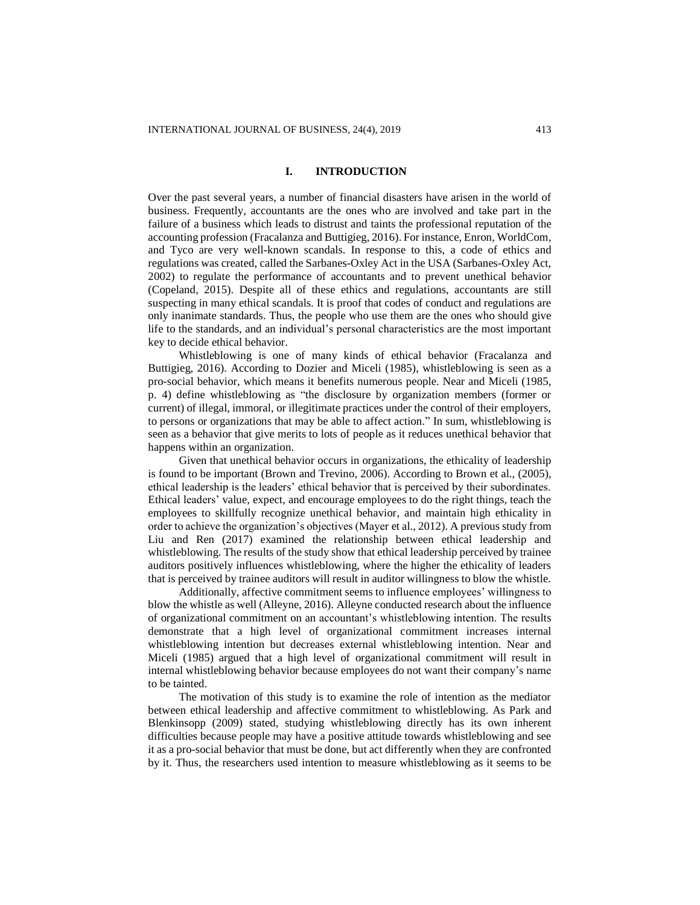#### **I. INTRODUCTION**

Over the past several years, a number of financial disasters have arisen in the world of business. Frequently, accountants are the ones who are involved and take part in the failure of a business which leads to distrust and taints the professional reputation of the accounting profession (Fracalanza and Buttigieg, 2016). For instance, Enron, WorldCom, and Tyco are very well-known scandals. In response to this, a code of ethics and regulations was created, called the Sarbanes-Oxley Act in the USA (Sarbanes-Oxley Act, 2002) to regulate the performance of accountants and to prevent unethical behavior (Copeland, 2015). Despite all of these ethics and regulations, accountants are still suspecting in many ethical scandals. It is proof that codes of conduct and regulations are only inanimate standards. Thus, the people who use them are the ones who should give life to the standards, and an individual's personal characteristics are the most important key to decide ethical behavior.

Whistleblowing is one of many kinds of ethical behavior (Fracalanza and Buttigieg, 2016). According to Dozier and Miceli (1985), whistleblowing is seen as a pro-social behavior, which means it benefits numerous people. Near and Miceli (1985, p. 4) define whistleblowing as "the disclosure by organization members (former or current) of illegal, immoral, or illegitimate practices under the control of their employers, to persons or organizations that may be able to affect action." In sum, whistleblowing is seen as a behavior that give merits to lots of people as it reduces unethical behavior that happens within an organization.

Given that unethical behavior occurs in organizations, the ethicality of leadership is found to be important (Brown and Trevino, 2006). According to Brown et al., (2005), ethical leadership is the leaders' ethical behavior that is perceived by their subordinates. Ethical leaders' value, expect, and encourage employees to do the right things, teach the employees to skillfully recognize unethical behavior, and maintain high ethicality in order to achieve the organization's objectives (Mayer et al., 2012). A previous study from Liu and Ren (2017) examined the relationship between ethical leadership and whistleblowing. The results of the study show that ethical leadership perceived by trainee auditors positively influences whistleblowing, where the higher the ethicality of leaders that is perceived by trainee auditors will result in auditor willingness to blow the whistle.

Additionally, affective commitment seems to influence employees' willingness to blow the whistle as well (Alleyne, 2016). Alleyne conducted research about the influence of organizational commitment on an accountant's whistleblowing intention. The results demonstrate that a high level of organizational commitment increases internal whistleblowing intention but decreases external whistleblowing intention. Near and Miceli (1985) argued that a high level of organizational commitment will result in internal whistleblowing behavior because employees do not want their company's name to be tainted.

The motivation of this study is to examine the role of intention as the mediator between ethical leadership and affective commitment to whistleblowing. As Park and Blenkinsopp (2009) stated, studying whistleblowing directly has its own inherent difficulties because people may have a positive attitude towards whistleblowing and see it as a pro-social behavior that must be done, but act differently when they are confronted by it. Thus, the researchers used intention to measure whistleblowing as it seems to be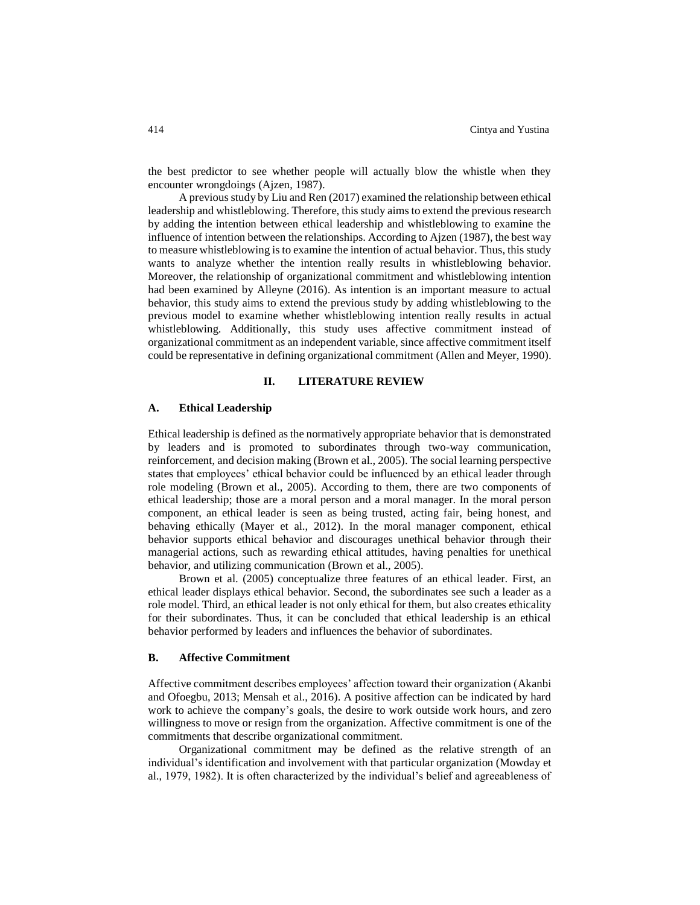the best predictor to see whether people will actually blow the whistle when they encounter wrongdoings (Ajzen, 1987).

A previous study by Liu and Ren (2017) examined the relationship between ethical leadership and whistleblowing. Therefore, this study aims to extend the previous research by adding the intention between ethical leadership and whistleblowing to examine the influence of intention between the relationships. According to Ajzen (1987), the best way to measure whistleblowing is to examine the intention of actual behavior. Thus, this study wants to analyze whether the intention really results in whistleblowing behavior. Moreover, the relationship of organizational commitment and whistleblowing intention had been examined by Alleyne (2016). As intention is an important measure to actual behavior, this study aims to extend the previous study by adding whistleblowing to the previous model to examine whether whistleblowing intention really results in actual whistleblowing. Additionally, this study uses affective commitment instead of organizational commitment as an independent variable, since affective commitment itself could be representative in defining organizational commitment (Allen and Meyer, 1990).

## **II. LITERATURE REVIEW**

## **A. Ethical Leadership**

Ethical leadership is defined as the normatively appropriate behavior that is demonstrated by leaders and is promoted to subordinates through two-way communication, reinforcement, and decision making (Brown et al., 2005). The social learning perspective states that employees' ethical behavior could be influenced by an ethical leader through role modeling (Brown et al., 2005). According to them, there are two components of ethical leadership; those are a moral person and a moral manager. In the moral person component, an ethical leader is seen as being trusted, acting fair, being honest, and behaving ethically (Mayer et al., 2012). In the moral manager component, ethical behavior supports ethical behavior and discourages unethical behavior through their managerial actions, such as rewarding ethical attitudes, having penalties for unethical behavior, and utilizing communication (Brown et al., 2005).

Brown et al. (2005) conceptualize three features of an ethical leader. First, an ethical leader displays ethical behavior. Second, the subordinates see such a leader as a role model. Third, an ethical leader is not only ethical for them, but also creates ethicality for their subordinates. Thus, it can be concluded that ethical leadership is an ethical behavior performed by leaders and influences the behavior of subordinates.

#### **B. Affective Commitment**

Affective commitment describes employees' affection toward their organization (Akanbi and Ofoegbu, 2013; Mensah et al., 2016). A positive affection can be indicated by hard work to achieve the company's goals, the desire to work outside work hours, and zero willingness to move or resign from the organization. Affective commitment is one of the commitments that describe organizational commitment.

Organizational commitment may be defined as the relative strength of an individual's identification and involvement with that particular organization (Mowday et al., 1979, 1982). It is often characterized by the individual's belief and agreeableness of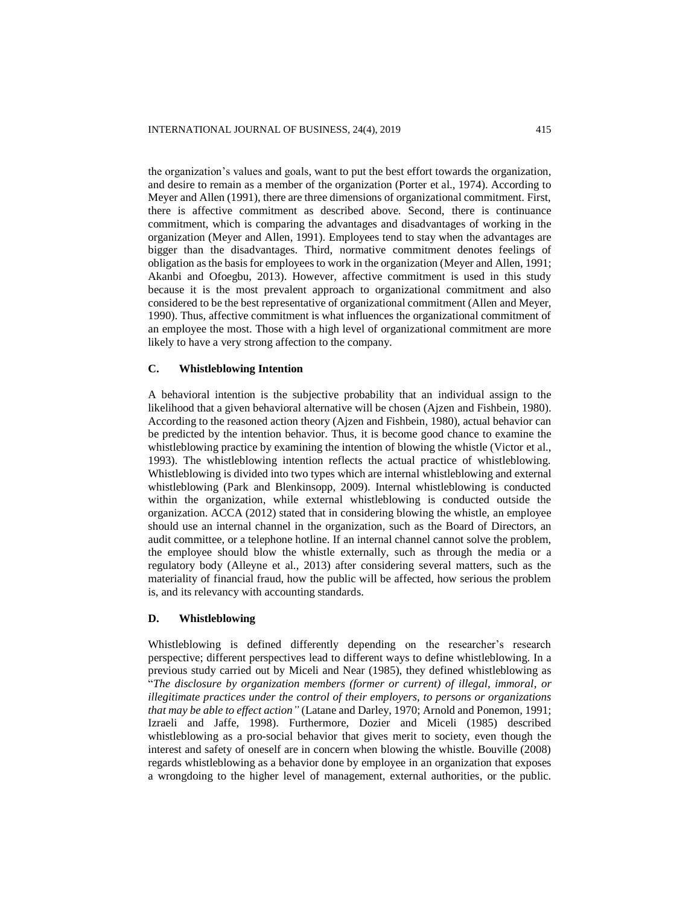the organization's values and goals, want to put the best effort towards the organization, and desire to remain as a member of the organization (Porter et al., 1974). According to Meyer and Allen (1991), there are three dimensions of organizational commitment. First, there is affective commitment as described above. Second, there is continuance commitment, which is comparing the advantages and disadvantages of working in the organization (Meyer and Allen, 1991). Employees tend to stay when the advantages are bigger than the disadvantages. Third, normative commitment denotes feelings of obligation as the basis for employees to work in the organization (Meyer and Allen, 1991; Akanbi and Ofoegbu, 2013). However, affective commitment is used in this study because it is the most prevalent approach to organizational commitment and also considered to be the best representative of organizational commitment (Allen and Meyer, 1990). Thus, affective commitment is what influences the organizational commitment of an employee the most. Those with a high level of organizational commitment are more likely to have a very strong affection to the company.

## **C. Whistleblowing Intention**

A behavioral intention is the subjective probability that an individual assign to the likelihood that a given behavioral alternative will be chosen (Ajzen and Fishbein, 1980). According to the reasoned action theory (Ajzen and Fishbein, 1980), actual behavior can be predicted by the intention behavior. Thus, it is become good chance to examine the whistleblowing practice by examining the intention of blowing the whistle (Victor et al., 1993). The whistleblowing intention reflects the actual practice of whistleblowing. Whistleblowing is divided into two types which are internal whistleblowing and external whistleblowing (Park and Blenkinsopp, 2009). Internal whistleblowing is conducted within the organization, while external whistleblowing is conducted outside the organization. ACCA (2012) stated that in considering blowing the whistle, an employee should use an internal channel in the organization, such as the Board of Directors, an audit committee, or a telephone hotline. If an internal channel cannot solve the problem, the employee should blow the whistle externally, such as through the media or a regulatory body (Alleyne et al., 2013) after considering several matters, such as the materiality of financial fraud, how the public will be affected, how serious the problem is, and its relevancy with accounting standards.

## **D. Whistleblowing**

Whistleblowing is defined differently depending on the researcher's research perspective; different perspectives lead to different ways to define whistleblowing. In a previous study carried out by Miceli and Near (1985), they defined whistleblowing as "*The disclosure by organization members (former or current) of illegal, immoral, or illegitimate practices under the control of their employers, to persons or organizations that may be able to effect action"* (Latane and Darley, 1970; Arnold and Ponemon, 1991; Izraeli and Jaffe, 1998). Furthermore, Dozier and Miceli (1985) described whistleblowing as a pro-social behavior that gives merit to society, even though the interest and safety of oneself are in concern when blowing the whistle. Bouville (2008) regards whistleblowing as a behavior done by employee in an organization that exposes a wrongdoing to the higher level of management, external authorities, or the public.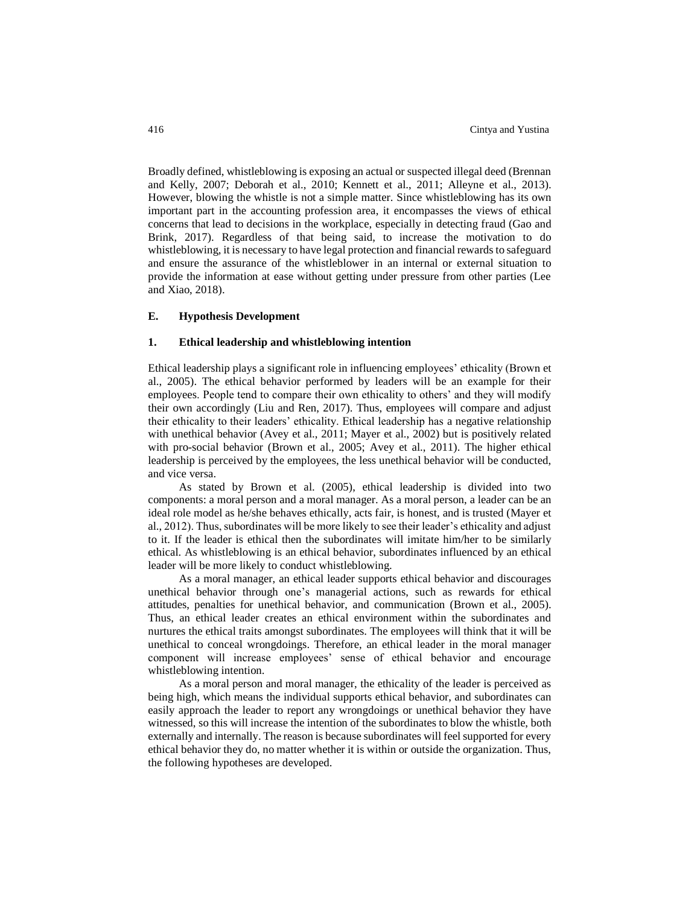Broadly defined, whistleblowing is exposing an actual or suspected illegal deed (Brennan and Kelly, 2007; Deborah et al., 2010; Kennett et al., 2011; Alleyne et al., 2013). However, blowing the whistle is not a simple matter. Since whistleblowing has its own important part in the accounting profession area, it encompasses the views of ethical concerns that lead to decisions in the workplace, especially in detecting fraud (Gao and Brink, 2017). Regardless of that being said, to increase the motivation to do whistleblowing, it is necessary to have legal protection and financial rewards to safeguard and ensure the assurance of the whistleblower in an internal or external situation to provide the information at ease without getting under pressure from other parties (Lee and Xiao, 2018).

## **E. Hypothesis Development**

## **1. Ethical leadership and whistleblowing intention**

Ethical leadership plays a significant role in influencing employees' ethicality (Brown et al., 2005). The ethical behavior performed by leaders will be an example for their employees. People tend to compare their own ethicality to others' and they will modify their own accordingly (Liu and Ren, 2017). Thus, employees will compare and adjust their ethicality to their leaders' ethicality. Ethical leadership has a negative relationship with unethical behavior (Avey et al., 2011; Mayer et al., 2002) but is positively related with pro-social behavior (Brown et al., 2005; Avey et al., 2011). The higher ethical leadership is perceived by the employees, the less unethical behavior will be conducted, and vice versa.

As stated by Brown et al. (2005), ethical leadership is divided into two components: a moral person and a moral manager. As a moral person, a leader can be an ideal role model as he/she behaves ethically, acts fair, is honest, and is trusted (Mayer et al., 2012). Thus, subordinates will be more likely to see their leader's ethicality and adjust to it. If the leader is ethical then the subordinates will imitate him/her to be similarly ethical. As whistleblowing is an ethical behavior, subordinates influenced by an ethical leader will be more likely to conduct whistleblowing.

As a moral manager, an ethical leader supports ethical behavior and discourages unethical behavior through one's managerial actions, such as rewards for ethical attitudes, penalties for unethical behavior, and communication (Brown et al., 2005). Thus, an ethical leader creates an ethical environment within the subordinates and nurtures the ethical traits amongst subordinates. The employees will think that it will be unethical to conceal wrongdoings. Therefore, an ethical leader in the moral manager component will increase employees' sense of ethical behavior and encourage whistleblowing intention.

As a moral person and moral manager, the ethicality of the leader is perceived as being high, which means the individual supports ethical behavior, and subordinates can easily approach the leader to report any wrongdoings or unethical behavior they have witnessed, so this will increase the intention of the subordinates to blow the whistle, both externally and internally. The reason is because subordinates will feel supported for every ethical behavior they do, no matter whether it is within or outside the organization. Thus, the following hypotheses are developed.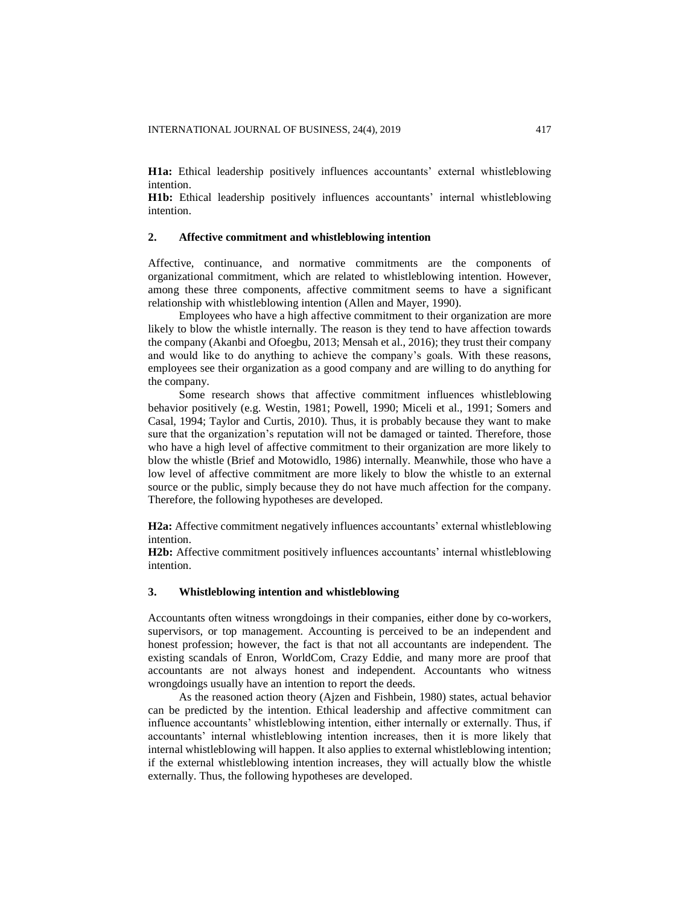**H1a:** Ethical leadership positively influences accountants' external whistleblowing intention.

**H1b:** Ethical leadership positively influences accountants' internal whistleblowing intention.

## **2. Affective commitment and whistleblowing intention**

Affective, continuance, and normative commitments are the components of organizational commitment, which are related to whistleblowing intention. However, among these three components, affective commitment seems to have a significant relationship with whistleblowing intention (Allen and Mayer, 1990).

Employees who have a high affective commitment to their organization are more likely to blow the whistle internally. The reason is they tend to have affection towards the company (Akanbi and Ofoegbu, 2013; Mensah et al., 2016); they trust their company and would like to do anything to achieve the company's goals. With these reasons, employees see their organization as a good company and are willing to do anything for the company.

Some research shows that affective commitment influences whistleblowing behavior positively (e.g. Westin, 1981; Powell, 1990; Miceli et al., 1991; Somers and Casal, 1994; Taylor and Curtis, 2010). Thus, it is probably because they want to make sure that the organization's reputation will not be damaged or tainted. Therefore, those who have a high level of affective commitment to their organization are more likely to blow the whistle (Brief and Motowidlo, 1986) internally. Meanwhile, those who have a low level of affective commitment are more likely to blow the whistle to an external source or the public, simply because they do not have much affection for the company. Therefore, the following hypotheses are developed.

**H2a:** Affective commitment negatively influences accountants' external whistleblowing intention.

**H2b:** Affective commitment positively influences accountants' internal whistleblowing intention.

## **3. Whistleblowing intention and whistleblowing**

Accountants often witness wrongdoings in their companies, either done by co-workers, supervisors, or top management. Accounting is perceived to be an independent and honest profession; however, the fact is that not all accountants are independent. The existing scandals of Enron, WorldCom, Crazy Eddie, and many more are proof that accountants are not always honest and independent. Accountants who witness wrongdoings usually have an intention to report the deeds.

As the reasoned action theory (Ajzen and Fishbein, 1980) states, actual behavior can be predicted by the intention. Ethical leadership and affective commitment can influence accountants' whistleblowing intention, either internally or externally. Thus, if accountants' internal whistleblowing intention increases, then it is more likely that internal whistleblowing will happen. It also applies to external whistleblowing intention; if the external whistleblowing intention increases, they will actually blow the whistle externally. Thus, the following hypotheses are developed.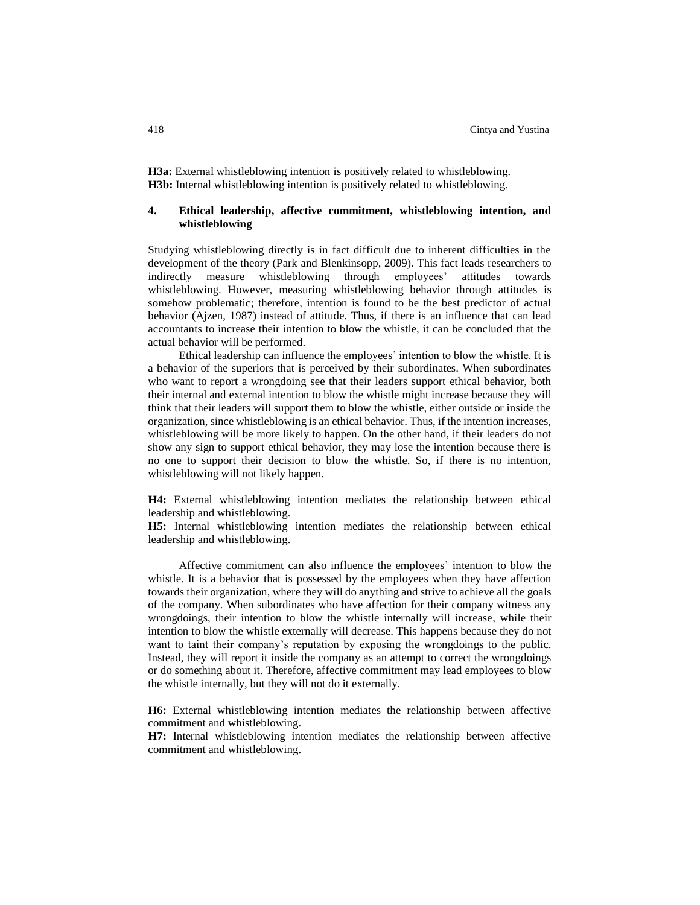**H3a:** External whistleblowing intention is positively related to whistleblowing. **H3b:** Internal whistleblowing intention is positively related to whistleblowing.

## **4. Ethical leadership, affective commitment, whistleblowing intention, and whistleblowing**

Studying whistleblowing directly is in fact difficult due to inherent difficulties in the development of the theory (Park and Blenkinsopp, 2009). This fact leads researchers to indirectly measure whistleblowing through employees' attitudes towards whistleblowing. However, measuring whistleblowing behavior through attitudes is somehow problematic; therefore, intention is found to be the best predictor of actual behavior (Ajzen, 1987) instead of attitude. Thus, if there is an influence that can lead accountants to increase their intention to blow the whistle, it can be concluded that the actual behavior will be performed.

Ethical leadership can influence the employees' intention to blow the whistle. It is a behavior of the superiors that is perceived by their subordinates. When subordinates who want to report a wrongdoing see that their leaders support ethical behavior, both their internal and external intention to blow the whistle might increase because they will think that their leaders will support them to blow the whistle, either outside or inside the organization, since whistleblowing is an ethical behavior. Thus, if the intention increases, whistleblowing will be more likely to happen. On the other hand, if their leaders do not show any sign to support ethical behavior, they may lose the intention because there is no one to support their decision to blow the whistle. So, if there is no intention, whistleblowing will not likely happen.

**H4:** External whistleblowing intention mediates the relationship between ethical leadership and whistleblowing.

**H5:** Internal whistleblowing intention mediates the relationship between ethical leadership and whistleblowing.

Affective commitment can also influence the employees' intention to blow the whistle. It is a behavior that is possessed by the employees when they have affection towards their organization, where they will do anything and strive to achieve all the goals of the company. When subordinates who have affection for their company witness any wrongdoings, their intention to blow the whistle internally will increase, while their intention to blow the whistle externally will decrease. This happens because they do not want to taint their company's reputation by exposing the wrongdoings to the public. Instead, they will report it inside the company as an attempt to correct the wrongdoings or do something about it. Therefore, affective commitment may lead employees to blow the whistle internally, but they will not do it externally.

**H6:** External whistleblowing intention mediates the relationship between affective commitment and whistleblowing.

**H7:** Internal whistleblowing intention mediates the relationship between affective commitment and whistleblowing.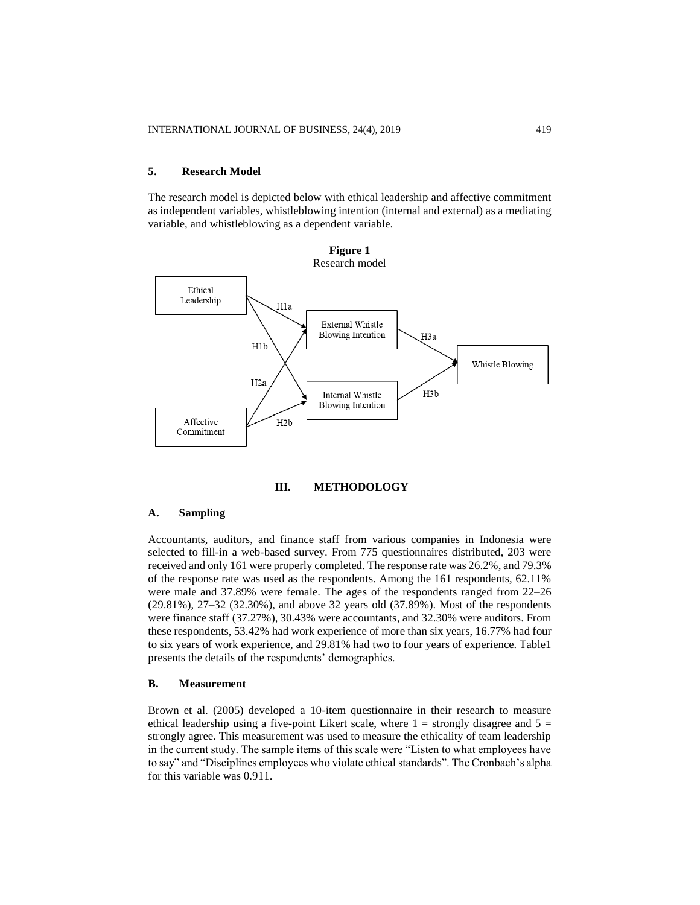## **5. Research Model**

The research model is depicted below with ethical leadership and affective commitment as independent variables, whistleblowing intention (internal and external) as a mediating variable, and whistleblowing as a dependent variable.



## **III. METHODOLOGY**

## **A. Sampling**

Accountants, auditors, and finance staff from various companies in Indonesia were selected to fill-in a web-based survey. From 775 questionnaires distributed, 203 were received and only 161 were properly completed. The response rate was 26.2%, and 79.3% of the response rate was used as the respondents. Among the 161 respondents, 62.11% were male and 37.89% were female. The ages of the respondents ranged from 22–26 (29.81%), 27–32 (32.30%), and above 32 years old (37.89%). Most of the respondents were finance staff (37.27%), 30.43% were accountants, and 32.30% were auditors. From these respondents, 53.42% had work experience of more than six years, 16.77% had four to six years of work experience, and 29.81% had two to four years of experience. Table1 presents the details of the respondents' demographics.

#### **B. Measurement**

Brown et al. (2005) developed a 10-item questionnaire in their research to measure ethical leadership using a five-point Likert scale, where  $1 =$  strongly disagree and  $5 =$ strongly agree. This measurement was used to measure the ethicality of team leadership in the current study. The sample items of this scale were "Listen to what employees have to say" and "Disciplines employees who violate ethical standards". The Cronbach's alpha for this variable was 0.911.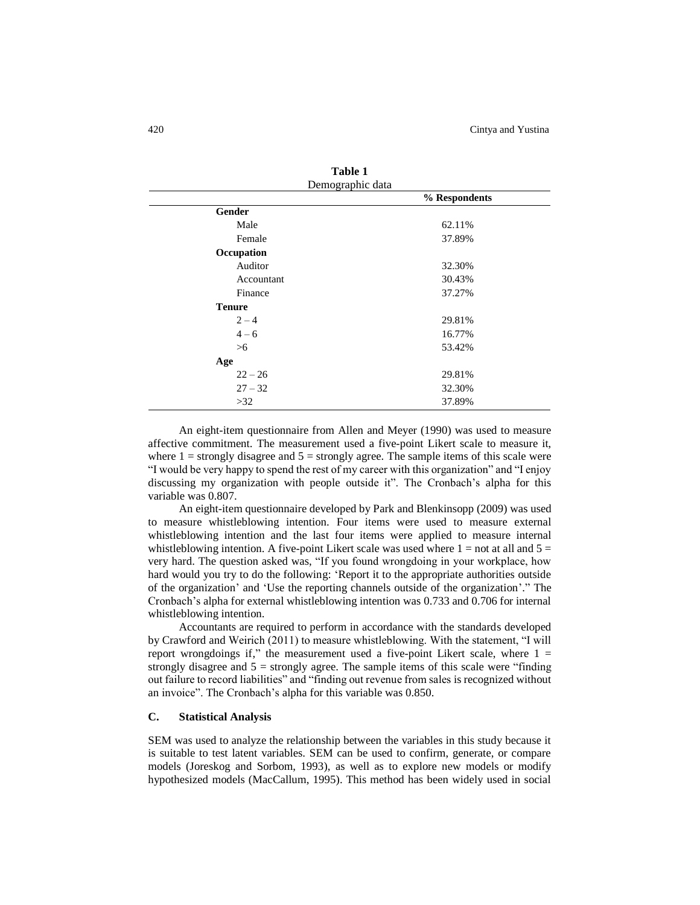| Table 1          |               |  |  |  |
|------------------|---------------|--|--|--|
| Demographic data |               |  |  |  |
|                  | % Respondents |  |  |  |
| Gender           |               |  |  |  |
| Male             | 62.11%        |  |  |  |
| Female           | 37.89%        |  |  |  |
| Occupation       |               |  |  |  |
| Auditor          | 32.30%        |  |  |  |
| Accountant       | 30.43%        |  |  |  |
| Finance          | 37.27%        |  |  |  |
| <b>Tenure</b>    |               |  |  |  |
| $2 - 4$          | 29.81%        |  |  |  |
| $4 - 6$          | 16.77%        |  |  |  |
| >6               | 53.42%        |  |  |  |
| Age              |               |  |  |  |
| $22 - 26$        | 29.81%        |  |  |  |
| $27 - 32$        | 32.30%        |  |  |  |
| >32              | 37.89%        |  |  |  |

An eight-item questionnaire from Allen and Meyer (1990) was used to measure affective commitment. The measurement used a five-point Likert scale to measure it, where  $1 =$  strongly disagree and  $5 =$  strongly agree. The sample items of this scale were "I would be very happy to spend the rest of my career with this organization" and "I enjoy discussing my organization with people outside it". The Cronbach's alpha for this variable was 0.807.

An eight-item questionnaire developed by Park and Blenkinsopp (2009) was used to measure whistleblowing intention. Four items were used to measure external whistleblowing intention and the last four items were applied to measure internal whistleblowing intention. A five-point Likert scale was used where  $1 =$  not at all and  $5 =$ very hard. The question asked was, "If you found wrongdoing in your workplace, how hard would you try to do the following: 'Report it to the appropriate authorities outside of the organization' and 'Use the reporting channels outside of the organization'." The Cronbach's alpha for external whistleblowing intention was 0.733 and 0.706 for internal whistleblowing intention.

Accountants are required to perform in accordance with the standards developed by Crawford and Weirich (2011) to measure whistleblowing. With the statement, "I will report wrongdoings if," the measurement used a five-point Likert scale, where  $1 =$ strongly disagree and  $5 =$  strongly agree. The sample items of this scale were "finding" out failure to record liabilities" and "finding out revenue from sales is recognized without an invoice". The Cronbach's alpha for this variable was 0.850.

## **C. Statistical Analysis**

SEM was used to analyze the relationship between the variables in this study because it is suitable to test latent variables. SEM can be used to confirm, generate, or compare models (Joreskog and Sorbom, 1993), as well as to explore new models or modify hypothesized models (MacCallum, 1995). This method has been widely used in social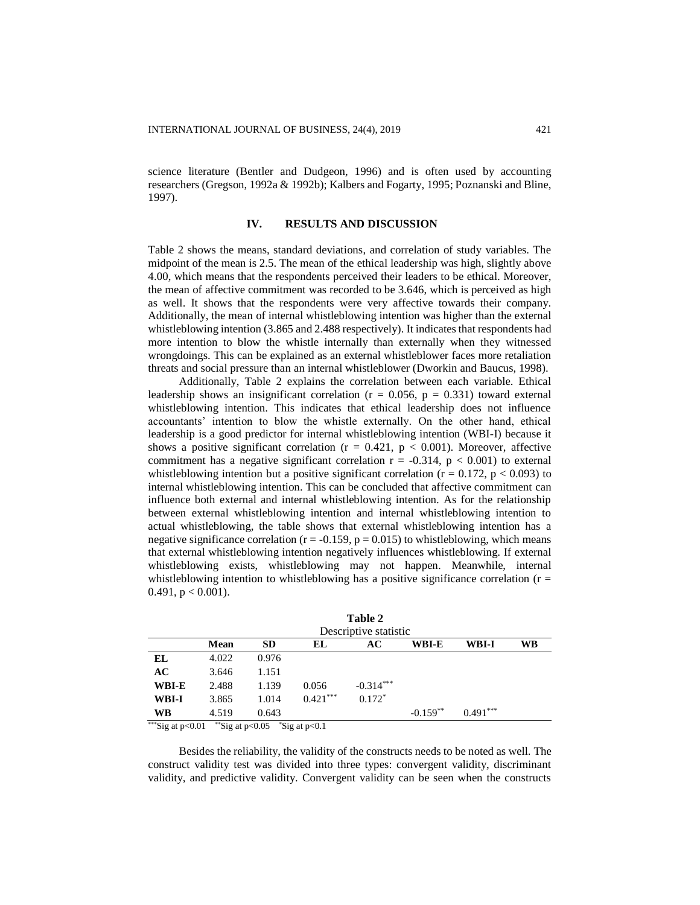science literature (Bentler and Dudgeon, 1996) and is often used by accounting researchers (Gregson, 1992a & 1992b); Kalbers and Fogarty, 1995; Poznanski and Bline, 1997).

## **IV. RESULTS AND DISCUSSION**

Table 2 shows the means, standard deviations, and correlation of study variables. The midpoint of the mean is 2.5. The mean of the ethical leadership was high, slightly above 4.00, which means that the respondents perceived their leaders to be ethical. Moreover, the mean of affective commitment was recorded to be 3.646, which is perceived as high as well. It shows that the respondents were very affective towards their company. Additionally, the mean of internal whistleblowing intention was higher than the external whistleblowing intention (3.865 and 2.488 respectively). It indicates that respondents had more intention to blow the whistle internally than externally when they witnessed wrongdoings. This can be explained as an external whistleblower faces more retaliation threats and social pressure than an internal whistleblower (Dworkin and Baucus, 1998).

Additionally, Table 2 explains the correlation between each variable. Ethical leadership shows an insignificant correlation ( $r = 0.056$ ,  $p = 0.331$ ) toward external whistleblowing intention. This indicates that ethical leadership does not influence accountants' intention to blow the whistle externally. On the other hand, ethical leadership is a good predictor for internal whistleblowing intention (WBI-I) because it shows a positive significant correlation ( $r = 0.421$ ,  $p < 0.001$ ). Moreover, affective commitment has a negative significant correlation  $r = -0.314$ ,  $p < 0.001$ ) to external whistleblowing intention but a positive significant correlation ( $r = 0.172$ ,  $p < 0.093$ ) to internal whistleblowing intention. This can be concluded that affective commitment can influence both external and internal whistleblowing intention. As for the relationship between external whistleblowing intention and internal whistleblowing intention to actual whistleblowing, the table shows that external whistleblowing intention has a negative significance correlation ( $r = -0.159$ ,  $p = 0.015$ ) to whistleblowing, which means that external whistleblowing intention negatively influences whistleblowing. If external whistleblowing exists, whistleblowing may not happen. Meanwhile, internal whistleblowing intention to whistleblowing has a positive significance correlation ( $r =$ 0.491,  $p < 0.001$ ).

|                                         |             |                                                     |            | Table 2               |            |            |    |
|-----------------------------------------|-------------|-----------------------------------------------------|------------|-----------------------|------------|------------|----|
|                                         |             |                                                     |            | Descriptive statistic |            |            |    |
|                                         | <b>Mean</b> | <b>SD</b>                                           | EL         | AC                    | WBI-E      | WBI-I      | WB |
| EL                                      | 4.022       | 0.976                                               |            |                       |            |            |    |
| AC                                      | 3.646       | 1.151                                               |            |                       |            |            |    |
| WBI-E                                   | 2.488       | 1.139                                               | 0.056      | $-0.314***$           |            |            |    |
| WBI-I                                   | 3.865       | 1.014                                               | $0.421***$ | $0.172*$              |            |            |    |
| <b>WB</b>                               | 4.519       | 0.643                                               |            |                       | $-0.159**$ | $0.491***$ |    |
| *** $C_{i \text{ce}}$ at $\approx 0.01$ |             | $^{**}$ Ciante $\sim$ 0.05 $^{*}$ Ciante $\sim$ 0.1 |            |                       |            |            |    |

Sig at  $p<0.01$ \*\*Sig at  $p<0.05$  \*Sig at  $p<0.1$ 

Besides the reliability, the validity of the constructs needs to be noted as well. The construct validity test was divided into three types: convergent validity, discriminant validity, and predictive validity. Convergent validity can be seen when the constructs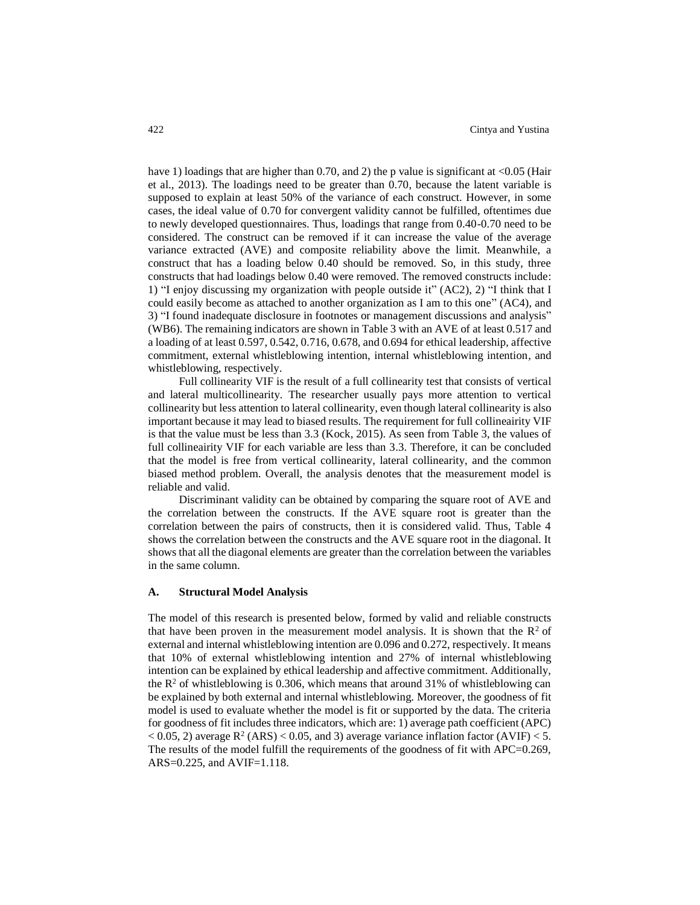have 1) loadings that are higher than 0.70, and 2) the p value is significant at  $\langle 0.05 \rangle$  (Hair et al., 2013). The loadings need to be greater than 0.70, because the latent variable is supposed to explain at least 50% of the variance of each construct. However, in some cases, the ideal value of 0.70 for convergent validity cannot be fulfilled, oftentimes due to newly developed questionnaires. Thus, loadings that range from 0.40-0.70 need to be considered. The construct can be removed if it can increase the value of the average variance extracted (AVE) and composite reliability above the limit. Meanwhile, a construct that has a loading below 0.40 should be removed. So, in this study, three constructs that had loadings below 0.40 were removed. The removed constructs include: 1) "I enjoy discussing my organization with people outside it" (AC2), 2) "I think that I could easily become as attached to another organization as I am to this one" (AC4), and 3) "I found inadequate disclosure in footnotes or management discussions and analysis" (WB6). The remaining indicators are shown in Table 3 with an AVE of at least 0.517 and a loading of at least 0.597, 0.542, 0.716, 0.678, and 0.694 for ethical leadership, affective commitment, external whistleblowing intention, internal whistleblowing intention, and whistleblowing, respectively.

Full collinearity VIF is the result of a full collinearity test that consists of vertical and lateral multicollinearity. The researcher usually pays more attention to vertical collinearity but less attention to lateral collinearity, even though lateral collinearity is also important because it may lead to biased results. The requirement for full collineairity VIF is that the value must be less than 3.3 (Kock, 2015). As seen from Table 3, the values of full collineairity VIF for each variable are less than 3.3. Therefore, it can be concluded that the model is free from vertical collinearity, lateral collinearity, and the common biased method problem. Overall, the analysis denotes that the measurement model is reliable and valid.

Discriminant validity can be obtained by comparing the square root of AVE and the correlation between the constructs. If the AVE square root is greater than the correlation between the pairs of constructs, then it is considered valid. Thus, Table 4 shows the correlation between the constructs and the AVE square root in the diagonal. It shows that all the diagonal elements are greater than the correlation between the variables in the same column.

#### **A. Structural Model Analysis**

The model of this research is presented below, formed by valid and reliable constructs that have been proven in the measurement model analysis. It is shown that the  $\mathbb{R}^2$  of external and internal whistleblowing intention are 0.096 and 0.272, respectively. It means that 10% of external whistleblowing intention and 27% of internal whistleblowing intention can be explained by ethical leadership and affective commitment. Additionally, the  $R^2$  of whistleblowing is 0.306, which means that around 31% of whistleblowing can be explained by both external and internal whistleblowing. Moreover, the goodness of fit model is used to evaluate whether the model is fit or supported by the data. The criteria for goodness of fit includes three indicators, which are: 1) average path coefficient (APC)  $<$  0.05, 2) average R<sup>2</sup> (ARS)  $<$  0.05, and 3) average variance inflation factor (AVIF)  $<$  5. The results of the model fulfill the requirements of the goodness of fit with APC=0.269, ARS=0.225, and AVIF=1.118.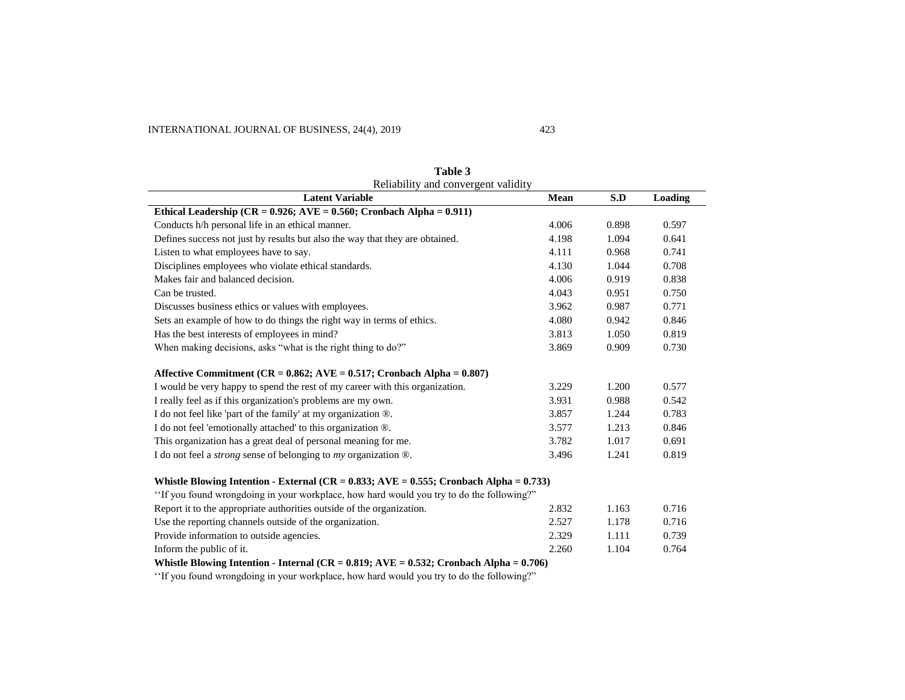| Reliability and convergent validity                                                                             |       |       |         |  |
|-----------------------------------------------------------------------------------------------------------------|-------|-------|---------|--|
| <b>Latent Variable</b>                                                                                          | Mean  | S.D   | Loading |  |
| Ethical Leadership (CR = $0.926$ ; AVE = $0.560$ ; Cronbach Alpha = $0.911$ )                                   |       |       |         |  |
| Conducts h/h personal life in an ethical manner.                                                                | 4.006 | 0.898 | 0.597   |  |
| Defines success not just by results but also the way that they are obtained.                                    | 4.198 | 1.094 | 0.641   |  |
| Listen to what employees have to say.                                                                           | 4.111 | 0.968 | 0.741   |  |
| Disciplines employees who violate ethical standards.                                                            | 4.130 | 1.044 | 0.708   |  |
| Makes fair and balanced decision.                                                                               | 4.006 | 0.919 | 0.838   |  |
| Can be trusted.                                                                                                 | 4.043 | 0.951 | 0.750   |  |
| Discusses business ethics or values with employees.                                                             | 3.962 | 0.987 | 0.771   |  |
| Sets an example of how to do things the right way in terms of ethics.                                           | 4.080 | 0.942 | 0.846   |  |
| Has the best interests of employees in mind?                                                                    | 3.813 | 1.050 | 0.819   |  |
| When making decisions, asks "what is the right thing to do?"                                                    | 3.869 | 0.909 | 0.730   |  |
| Affective Commitment ( $CR = 0.862$ ; AVE = 0.517; Cronbach Alpha = 0.807)                                      |       |       |         |  |
| I would be very happy to spend the rest of my career with this organization.                                    | 3.229 | 1.200 | 0.577   |  |
| I really feel as if this organization's problems are my own.                                                    | 3.931 | 0.988 | 0.542   |  |
| I do not feel like 'part of the family' at my organization ®.                                                   | 3.857 | 1.244 | 0.783   |  |
| I do not feel 'emotionally attached' to this organization ®.                                                    | 3.577 | 1.213 | 0.846   |  |
| This organization has a great deal of personal meaning for me.                                                  | 3.782 | 1.017 | 0.691   |  |
| I do not feel a <i>strong</i> sense of belonging to $my$ organization $\mathcal{D}$ .                           | 3.496 | 1.241 | 0.819   |  |
| Whistle Blowing Intention - External (CR = $0.833$ ; AVE = $0.555$ ; Cronbach Alpha = $0.733$ )                 |       |       |         |  |
| "If you found wrongdoing in your workplace, how hard would you try to do the following?"                        |       |       |         |  |
| Report it to the appropriate authorities outside of the organization.                                           | 2.832 | 1.163 | 0.716   |  |
| Use the reporting channels outside of the organization.                                                         | 2.527 | 1.178 | 0.716   |  |
| Provide information to outside agencies.                                                                        | 2.329 | 1.111 | 0.739   |  |
| Inform the public of it.                                                                                        | 2.260 | 1.104 | 0.764   |  |
| Whistle Blowing Intention - Internal ( $CR = 0.819$ ; $AVE = 0.532$ ; Cronbach Alpha = 0.706)                   |       |       |         |  |
| the contract of the contract of the contract of the contract of the contract of the contract of the contract of |       |       |         |  |

**Table 3**

'If you found wrongdoing in your workplace, how hard would you try to do the following?'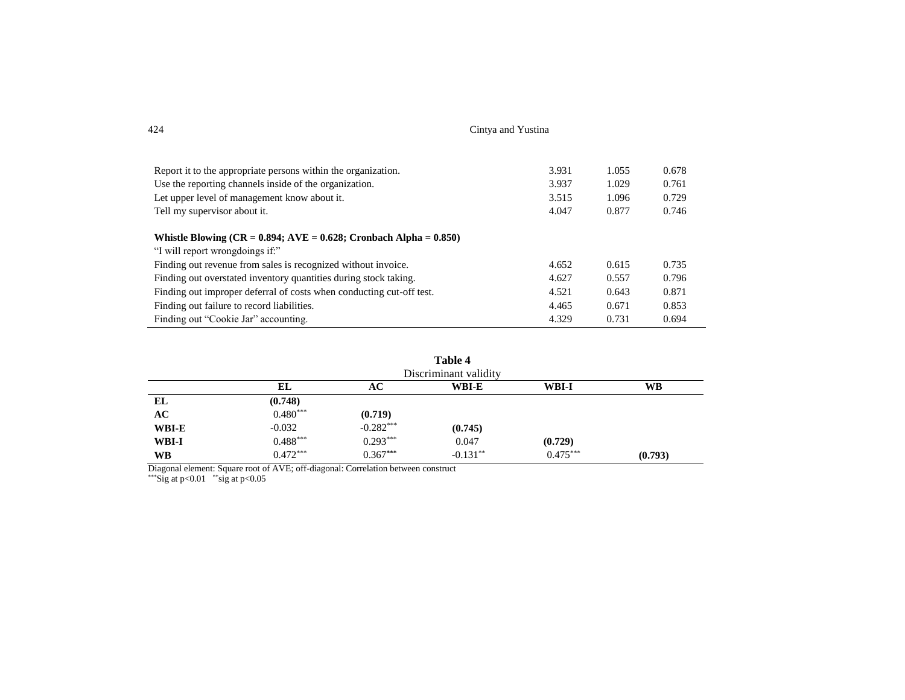| 424 | Cintva and Yustina |
|-----|--------------------|
|-----|--------------------|

| Report it to the appropriate persons within the organization.        | 3.931 | 1.055 | 0.678 |
|----------------------------------------------------------------------|-------|-------|-------|
| Use the reporting channels inside of the organization.               | 3.937 | 1.029 | 0.761 |
| Let upper level of management know about it.                         | 3.515 | 1.096 | 0.729 |
| Tell my supervisor about it.                                         | 4.047 | 0.877 | 0.746 |
|                                                                      |       |       |       |
| Whistle Blowing $(CR = 0.894; AVE = 0.628; Cronbach Alpha = 0.850)$  |       |       |       |
| "I will report wrongdoings if:"                                      |       |       |       |
| Finding out revenue from sales is recognized without invoice.        | 4.652 | 0.615 | 0.735 |
| Finding out overstated inventory quantities during stock taking.     | 4.627 | 0.557 | 0.796 |
| Finding out improper deferral of costs when conducting cut-off test. | 4.521 | 0.643 | 0.871 |
| Finding out failure to record liabilities.                           | 4.465 | 0.671 | 0.853 |
| Finding out "Cookie Jar" accounting.                                 | 4.329 | 0.731 | 0.694 |

| Table 4<br>Discriminant validity |            |             |            |            |           |
|----------------------------------|------------|-------------|------------|------------|-----------|
|                                  | EL         | AC          | WBI-E      | WBI-I      | <b>WB</b> |
| EL                               | (0.748)    |             |            |            |           |
| AC                               | $0.480***$ | (0.719)     |            |            |           |
| WBI-E                            | $-0.032$   | $-0.282***$ | (0.745)    |            |           |
| WBI-I                            | $0.488***$ | $0.293***$  | 0.047      | (0.729)    |           |
| WВ                               | $0.472***$ | $0.367***$  | $-0.131**$ | $0.475***$ | (0.793)   |

Diagonal element: Square root of AVE; off-diagonal: Correlation between construct

\*\*\*Sig at  $p<0.01$  \*\*sig at  $p<0.05$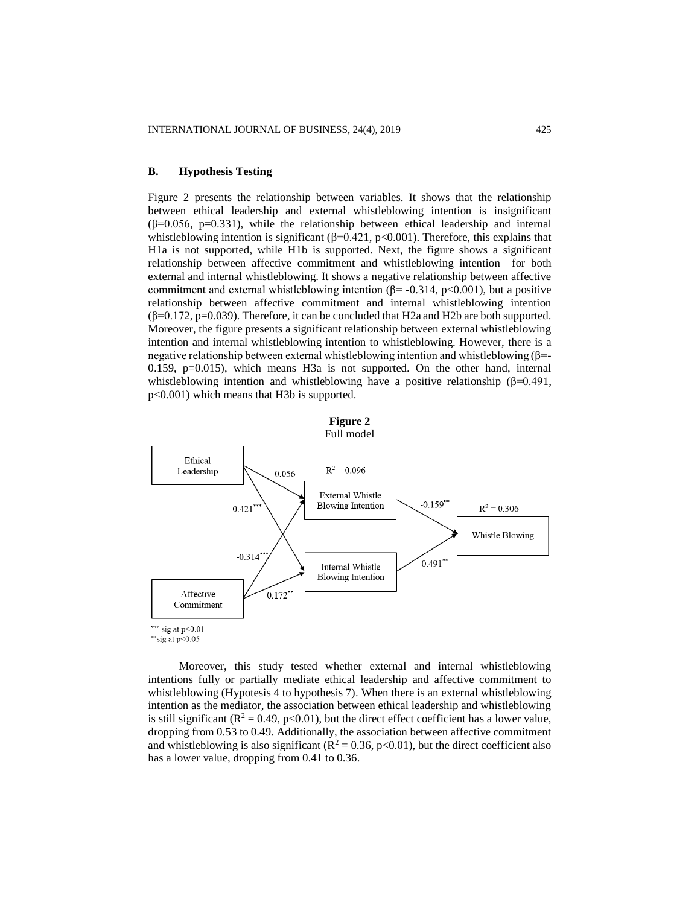## **B. Hypothesis Testing**

Figure 2 presents the relationship between variables. It shows that the relationship between ethical leadership and external whistleblowing intention is insignificant  $(\beta=0.056, p=0.331)$ , while the relationship between ethical leadership and internal whistleblowing intention is significant ( $\beta$ =0.421, p<0.001). Therefore, this explains that H1a is not supported, while H1b is supported. Next, the figure shows a significant relationship between affective commitment and whistleblowing intention—for both external and internal whistleblowing. It shows a negative relationship between affective commitment and external whistleblowing intention ( $\beta$ = -0.314, p<0.001), but a positive relationship between affective commitment and internal whistleblowing intention  $(\beta=0.172, p=0.039)$ . Therefore, it can be concluded that H2a and H2b are both supported. Moreover, the figure presents a significant relationship between external whistleblowing intention and internal whistleblowing intention to whistleblowing. However, there is a negative relationship between external whistleblowing intention and whistleblowing  $(\beta = -1)$ 0.159, p=0.015), which means H3a is not supported. On the other hand, internal whistleblowing intention and whistleblowing have a positive relationship ( $\beta$ =0.491, p<0.001) which means that H3b is supported.



Moreover, this study tested whether external and internal whistleblowing intentions fully or partially mediate ethical leadership and affective commitment to whistleblowing (Hypotesis 4 to hypothesis 7). When there is an external whistleblowing intention as the mediator, the association between ethical leadership and whistleblowing is still significant  $(R^2 = 0.49, p<0.01)$ , but the direct effect coefficient has a lower value, dropping from 0.53 to 0.49. Additionally, the association between affective commitment and whistleblowing is also significant ( $R^2 = 0.36$ , p<0.01), but the direct coefficient also has a lower value, dropping from 0.41 to 0.36.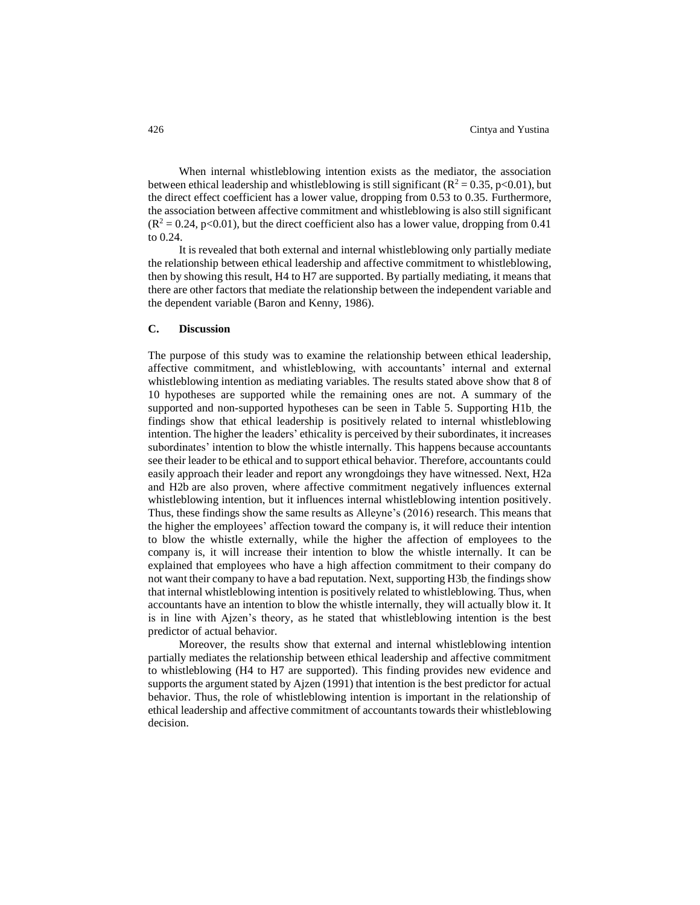When internal whistleblowing intention exists as the mediator, the association between ethical leadership and whistleblowing is still significant ( $R^2 = 0.35$ , p<0.01), but the direct effect coefficient has a lower value, dropping from 0.53 to 0.35. Furthermore, the association between affective commitment and whistleblowing is also still significant  $(R^2 = 0.24, p<0.01)$ , but the direct coefficient also has a lower value, dropping from 0.41 to 0.24.

It is revealed that both external and internal whistleblowing only partially mediate the relationship between ethical leadership and affective commitment to whistleblowing, then by showing this result, H4 to H7 are supported. By partially mediating, it means that there are other factors that mediate the relationship between the independent variable and the dependent variable (Baron and Kenny, 1986).

## **C. Discussion**

The purpose of this study was to examine the relationship between ethical leadership, affective commitment, and whistleblowing, with accountants' internal and external whistleblowing intention as mediating variables. The results stated above show that 8 of 10 hypotheses are supported while the remaining ones are not. A summary of the supported and non-supported hypotheses can be seen in Table 5. Supporting H1b, the findings show that ethical leadership is positively related to internal whistleblowing intention. The higher the leaders' ethicality is perceived by their subordinates, it increases subordinates' intention to blow the whistle internally. This happens because accountants see their leader to be ethical and to support ethical behavior. Therefore, accountants could easily approach their leader and report any wrongdoings they have witnessed. Next, H2a and H2b are also proven, where affective commitment negatively influences external whistleblowing intention, but it influences internal whistleblowing intention positively. Thus, these findings show the same results as Alleyne's (2016) research. This means that the higher the employees' affection toward the company is, it will reduce their intention to blow the whistle externally, while the higher the affection of employees to the company is, it will increase their intention to blow the whistle internally. It can be explained that employees who have a high affection commitment to their company do not want their company to have a bad reputation. Next, supporting H3b, the findings show that internal whistleblowing intention is positively related to whistleblowing. Thus, when accountants have an intention to blow the whistle internally, they will actually blow it. It is in line with Ajzen's theory, as he stated that whistleblowing intention is the best predictor of actual behavior.

Moreover, the results show that external and internal whistleblowing intention partially mediates the relationship between ethical leadership and affective commitment to whistleblowing (H4 to H7 are supported). This finding provides new evidence and supports the argument stated by Ajzen (1991) that intention is the best predictor for actual behavior. Thus, the role of whistleblowing intention is important in the relationship of ethical leadership and affective commitment of accountants towards their whistleblowing decision.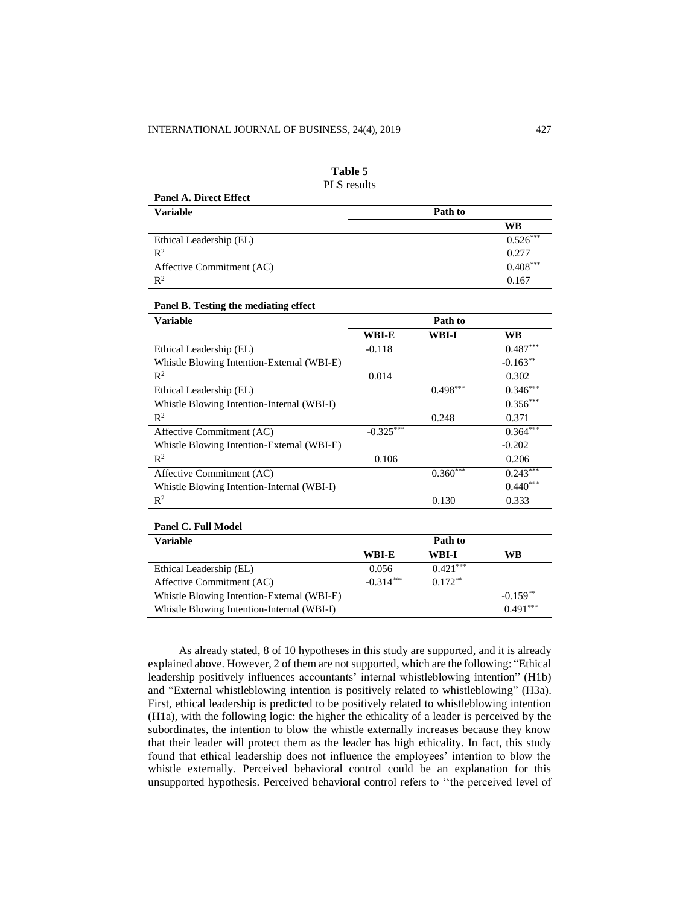| <b>PLS</b> results            |            |
|-------------------------------|------------|
| <b>Panel A. Direct Effect</b> |            |
| <b>Variable</b>               | Path to    |
|                               | <b>WB</b>  |
| Ethical Leadership (EL)       | $0.526***$ |
| $R^2$                         | 0.277      |
| Affective Commitment (AC)     | $0.408***$ |
| $\mathbb{R}^2$                | 0.167      |

| Table 5                                              |
|------------------------------------------------------|
| $\overline{\text{DI}}$ $\overline{\text{S}}$ regults |

## **Panel B. Testing the mediating effect**

| <b>Variable</b>                            | Path to     |             |             |  |
|--------------------------------------------|-------------|-------------|-------------|--|
|                                            | WBI-E       | WBI-I       | WB          |  |
| Ethical Leadership (EL)                    | $-0.118$    |             | $0.487***$  |  |
| Whistle Blowing Intention-External (WBI-E) |             |             | $-0.163***$ |  |
| $\mathbb{R}^2$                             | 0.014       |             | 0.302       |  |
| Ethical Leadership (EL)                    |             | $0.498$ *** | $0.346***$  |  |
| Whistle Blowing Intention-Internal (WBI-I) |             |             | $0.356***$  |  |
| $\mathbb{R}^2$                             |             | 0.248       | 0.371       |  |
| Affective Commitment (AC)                  | $-0.325***$ |             | $0.364***$  |  |
| Whistle Blowing Intention-External (WBI-E) |             |             | $-0.202$    |  |
| $\mathbb{R}^2$                             | 0.106       |             | 0.206       |  |
| Affective Commitment (AC)                  |             | $0.360***$  | $0.243***$  |  |
| Whistle Blowing Intention-Internal (WBI-I) |             |             | $0.440***$  |  |
| $\mathbb{R}^2$                             |             | 0.130       | 0.333       |  |

#### **Panel C. Full Model**

| <b>Variable</b>                            | Path to     |            |            |  |
|--------------------------------------------|-------------|------------|------------|--|
|                                            | WBI-E       | WBI-I      | WB         |  |
| Ethical Leadership (EL)                    | 0.056       | $0.421***$ |            |  |
| Affective Commitment (AC)                  | $-0.314***$ | $0.172**$  |            |  |
| Whistle Blowing Intention-External (WBI-E) |             |            | $-0.159**$ |  |
| Whistle Blowing Intention-Internal (WBI-I) |             |            | $0.491***$ |  |

As already stated, 8 of 10 hypotheses in this study are supported, and it is already explained above. However, 2 of them are not supported, which are the following: "Ethical leadership positively influences accountants' internal whistleblowing intention" (H1b) and "External whistleblowing intention is positively related to whistleblowing" (H3a). First, ethical leadership is predicted to be positively related to whistleblowing intention (H1a), with the following logic: the higher the ethicality of a leader is perceived by the subordinates, the intention to blow the whistle externally increases because they know that their leader will protect them as the leader has high ethicality. In fact, this study found that ethical leadership does not influence the employees' intention to blow the whistle externally. Perceived behavioral control could be an explanation for this unsupported hypothesis. Perceived behavioral control refers to ''the perceived level of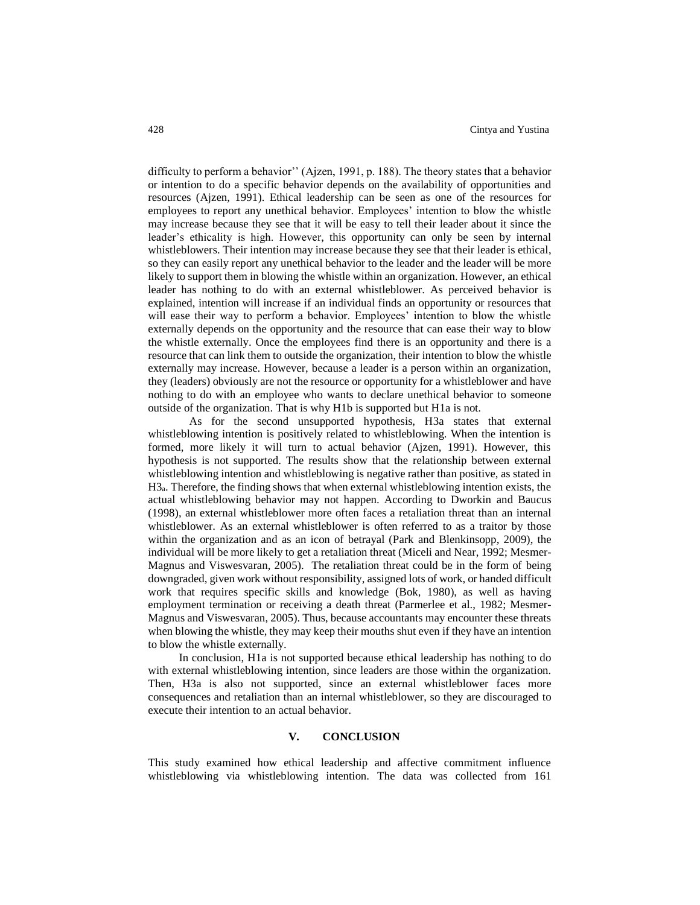difficulty to perform a behavior'' (Ajzen, 1991, p. 188). The theory states that a behavior or intention to do a specific behavior depends on the availability of opportunities and resources (Ajzen, 1991). Ethical leadership can be seen as one of the resources for employees to report any unethical behavior. Employees' intention to blow the whistle may increase because they see that it will be easy to tell their leader about it since the leader's ethicality is high. However, this opportunity can only be seen by internal whistleblowers. Their intention may increase because they see that their leader is ethical, so they can easily report any unethical behavior to the leader and the leader will be more likely to support them in blowing the whistle within an organization. However, an ethical leader has nothing to do with an external whistleblower. As perceived behavior is explained, intention will increase if an individual finds an opportunity or resources that will ease their way to perform a behavior. Employees' intention to blow the whistle externally depends on the opportunity and the resource that can ease their way to blow the whistle externally. Once the employees find there is an opportunity and there is a resource that can link them to outside the organization, their intention to blow the whistle externally may increase. However, because a leader is a person within an organization, they (leaders) obviously are not the resource or opportunity for a whistleblower and have nothing to do with an employee who wants to declare unethical behavior to someone outside of the organization. That is why H1b is supported but H1a is not.

As for the second unsupported hypothesis, H3a states that external whistleblowing intention is positively related to whistleblowing. When the intention is formed, more likely it will turn to actual behavior (Ajzen, 1991). However, this hypothesis is not supported. The results show that the relationship between external whistleblowing intention and whistleblowing is negative rather than positive, as stated in H3a. Therefore, the finding shows that when external whistleblowing intention exists, the actual whistleblowing behavior may not happen. According to Dworkin and Baucus (1998), an external whistleblower more often faces a retaliation threat than an internal whistleblower. As an external whistleblower is often referred to as a traitor by those within the organization and as an icon of betrayal (Park and Blenkinsopp, 2009), the individual will be more likely to get a retaliation threat (Miceli and Near, 1992; Mesmer-Magnus and Viswesvaran, 2005). The retaliation threat could be in the form of being downgraded, given work without responsibility, assigned lots of work, or handed difficult work that requires specific skills and knowledge (Bok, 1980), as well as having employment termination or receiving a death threat (Parmerlee et al., 1982; Mesmer-Magnus and Viswesvaran, 2005). Thus, because accountants may encounter these threats when blowing the whistle, they may keep their mouths shut even if they have an intention to blow the whistle externally.

In conclusion, H1a is not supported because ethical leadership has nothing to do with external whistleblowing intention, since leaders are those within the organization. Then, H3a is also not supported, since an external whistleblower faces more consequences and retaliation than an internal whistleblower, so they are discouraged to execute their intention to an actual behavior.

## **V. CONCLUSION**

This study examined how ethical leadership and affective commitment influence whistleblowing via whistleblowing intention. The data was collected from 161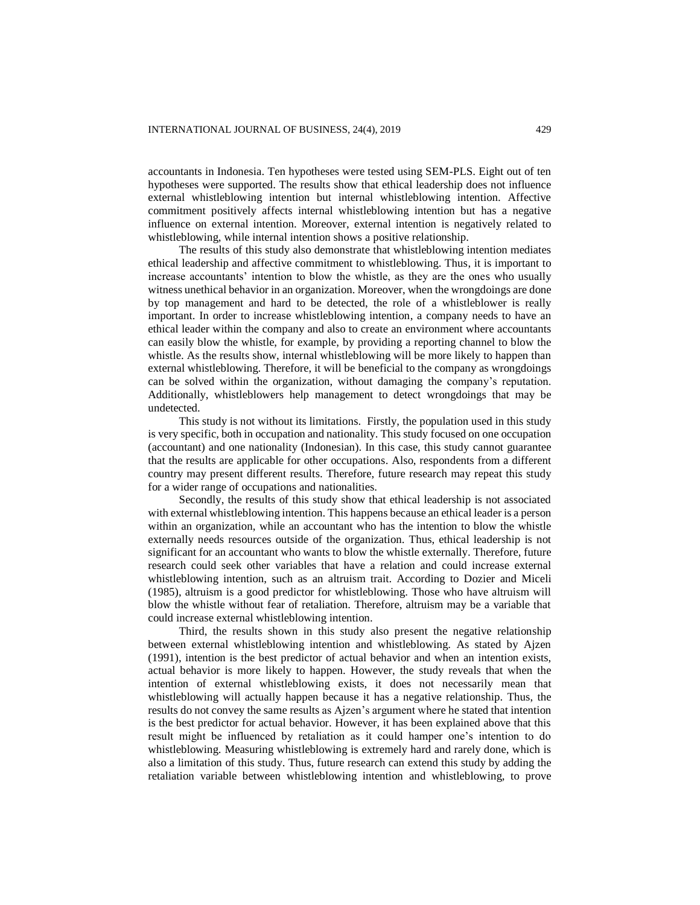accountants in Indonesia. Ten hypotheses were tested using SEM-PLS. Eight out of ten hypotheses were supported. The results show that ethical leadership does not influence external whistleblowing intention but internal whistleblowing intention. Affective commitment positively affects internal whistleblowing intention but has a negative influence on external intention. Moreover, external intention is negatively related to whistleblowing, while internal intention shows a positive relationship.

The results of this study also demonstrate that whistleblowing intention mediates ethical leadership and affective commitment to whistleblowing. Thus, it is important to increase accountants' intention to blow the whistle, as they are the ones who usually witness unethical behavior in an organization. Moreover, when the wrongdoings are done by top management and hard to be detected, the role of a whistleblower is really important. In order to increase whistleblowing intention, a company needs to have an ethical leader within the company and also to create an environment where accountants can easily blow the whistle, for example, by providing a reporting channel to blow the whistle. As the results show, internal whistleblowing will be more likely to happen than external whistleblowing. Therefore, it will be beneficial to the company as wrongdoings can be solved within the organization, without damaging the company's reputation. Additionally, whistleblowers help management to detect wrongdoings that may be undetected.

This study is not without its limitations. Firstly, the population used in this study is very specific, both in occupation and nationality. This study focused on one occupation (accountant) and one nationality (Indonesian). In this case, this study cannot guarantee that the results are applicable for other occupations. Also, respondents from a different country may present different results. Therefore, future research may repeat this study for a wider range of occupations and nationalities.

Secondly, the results of this study show that ethical leadership is not associated with external whistleblowing intention. This happens because an ethical leader is a person within an organization, while an accountant who has the intention to blow the whistle externally needs resources outside of the organization. Thus, ethical leadership is not significant for an accountant who wants to blow the whistle externally. Therefore, future research could seek other variables that have a relation and could increase external whistleblowing intention, such as an altruism trait. According to Dozier and Miceli (1985), altruism is a good predictor for whistleblowing. Those who have altruism will blow the whistle without fear of retaliation. Therefore, altruism may be a variable that could increase external whistleblowing intention.

Third, the results shown in this study also present the negative relationship between external whistleblowing intention and whistleblowing. As stated by Ajzen (1991), intention is the best predictor of actual behavior and when an intention exists, actual behavior is more likely to happen. However, the study reveals that when the intention of external whistleblowing exists, it does not necessarily mean that whistleblowing will actually happen because it has a negative relationship. Thus, the results do not convey the same results as Ajzen's argument where he stated that intention is the best predictor for actual behavior. However, it has been explained above that this result might be influenced by retaliation as it could hamper one's intention to do whistleblowing. Measuring whistleblowing is extremely hard and rarely done, which is also a limitation of this study. Thus, future research can extend this study by adding the retaliation variable between whistleblowing intention and whistleblowing, to prove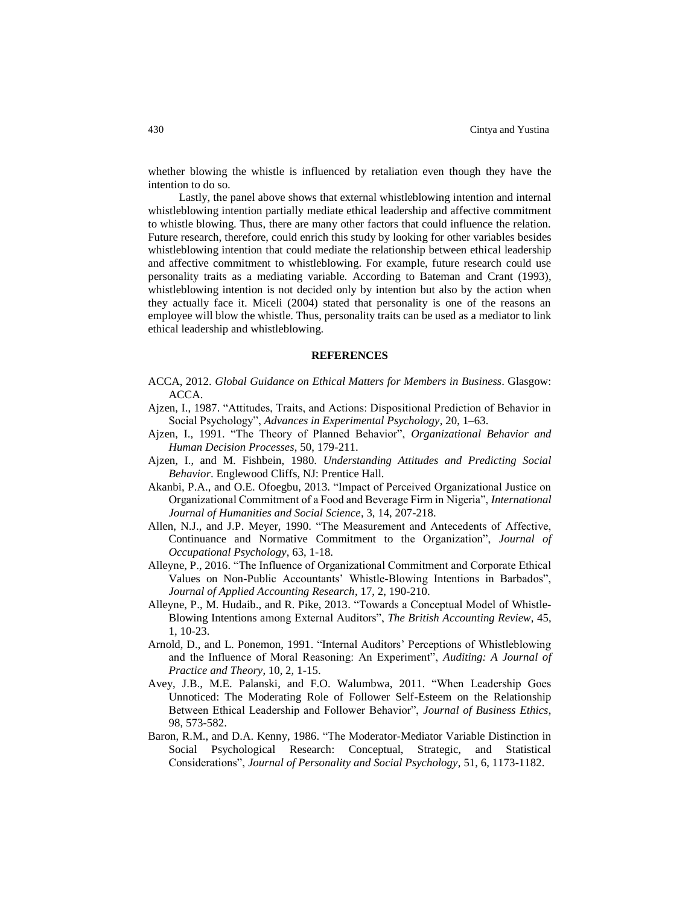whether blowing the whistle is influenced by retaliation even though they have the intention to do so.

Lastly, the panel above shows that external whistleblowing intention and internal whistleblowing intention partially mediate ethical leadership and affective commitment to whistle blowing. Thus, there are many other factors that could influence the relation. Future research, therefore, could enrich this study by looking for other variables besides whistleblowing intention that could mediate the relationship between ethical leadership and affective commitment to whistleblowing. For example, future research could use personality traits as a mediating variable. According to Bateman and Crant (1993), whistleblowing intention is not decided only by intention but also by the action when they actually face it. Miceli (2004) stated that personality is one of the reasons an employee will blow the whistle. Thus, personality traits can be used as a mediator to link ethical leadership and whistleblowing.

#### **REFERENCES**

- ACCA, 2012. *Global Guidance on Ethical Matters for Members in Business*. Glasgow: ACCA.
- Ajzen, I., 1987. "Attitudes, Traits, and Actions: Dispositional Prediction of Behavior in Social Psychology", *Advances in Experimental Psychology*, 20, 1–63.
- Ajzen, I., 1991. "The Theory of Planned Behavior", *Organizational Behavior and Human Decision Processes*, 50, 179-211.
- Ajzen, I., and M. Fishbein, 1980. *Understanding Attitudes and Predicting Social Behavior*. Englewood Cliffs, NJ: Prentice Hall.
- Akanbi, P.A., and O.E. Ofoegbu, 2013. "Impact of Perceived Organizational Justice on Organizational Commitment of a Food and Beverage Firm in Nigeria", *International Journal of Humanities and Social Science*, 3, 14, 207-218.
- Allen, N.J., and J.P. Meyer, 1990. "The Measurement and Antecedents of Affective, Continuance and Normative Commitment to the Organization", *Journal of Occupational Psychology*, 63, 1-18.
- Alleyne, P., 2016. "The Influence of Organizational Commitment and Corporate Ethical Values on Non-Public Accountants' Whistle-Blowing Intentions in Barbados", *Journal of Applied Accounting Research*, 17, 2, 190-210.
- Alleyne, P., M. Hudaib., and R. Pike, 2013. "Towards a Conceptual Model of Whistle-Blowing Intentions among External Auditors", *The British Accounting Review*, 45, 1, 10-23.
- Arnold, D., and L. Ponemon, 1991. "Internal Auditors' Perceptions of Whistleblowing and the Influence of Moral Reasoning: An Experiment", *Auditing: A Journal of Practice and Theory*, 10, 2, 1-15.
- Avey, J.B., M.E. Palanski, and F.O. Walumbwa, 2011. "When Leadership Goes Unnoticed: The Moderating Role of Follower Self-Esteem on the Relationship Between Ethical Leadership and Follower Behavior", *Journal of Business Ethics*, 98, 573-582.
- Baron, R.M., and D.A. Kenny, 1986. "The Moderator-Mediator Variable Distinction in Social Psychological Research: Conceptual, Strategic, and Statistical Considerations", *Journal of Personality and Social Psychology*, 51, 6, 1173-1182.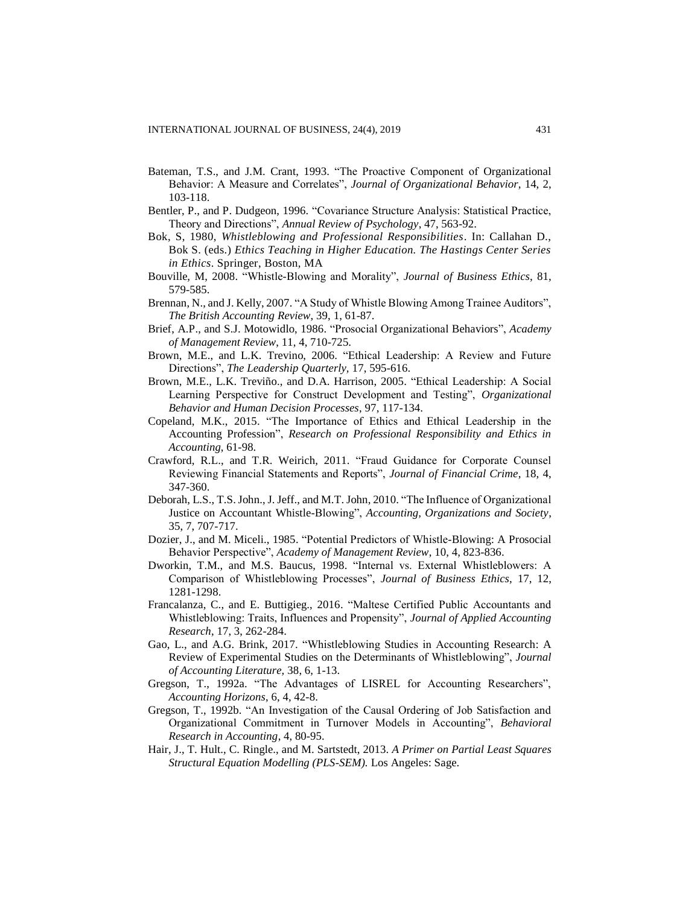- Bateman, T.S., and J.M. Crant, 1993. "The Proactive Component of Organizational Behavior: A Measure and Correlates", *Journal of Organizational Behavior*, 14, 2, 103-118.
- Bentler, P., and P. Dudgeon, 1996. "Covariance Structure Analysis: Statistical Practice, Theory and Directions", *Annual Review of Psychology*, 47, 563-92.
- Bok, S, 1980, *Whistleblowing and Professional Responsibilities*. In: Callahan D., Bok S. (eds.) *Ethics Teaching in Higher Education. The Hastings Center Series in Ethics*. Springer, Boston, MA
- Bouville, M, 2008. "Whistle-Blowing and Morality", *Journal of Business Ethics*, 81, 579-585.
- Brennan, N., and J. Kelly, 2007. "A Study of Whistle Blowing Among Trainee Auditors", *The British Accounting Review*, 39, 1, 61-87.
- Brief, A.P., and S.J. Motowidlo, 1986. "Prosocial Organizational Behaviors", *Academy of Management Review*, 11, 4, 710-725.
- Brown, M.E., and L.K. Trevino, 2006. "Ethical Leadership: A Review and Future Directions", *The Leadership Quarterly,* 17, 595-616.
- Brown, M.E., L.K. Treviño., and D.A. Harrison, 2005. "Ethical Leadership: A Social Learning Perspective for Construct Development and Testing", *Organizational Behavior and Human Decision Processes*, 97, 117-134.
- Copeland, M.K., 2015. "The Importance of Ethics and Ethical Leadership in the Accounting Profession", *Research on Professional Responsibility and Ethics in Accounting*, 61-98.
- Crawford, R.L., and T.R. Weirich, 2011. "Fraud Guidance for Corporate Counsel Reviewing Financial Statements and Reports", *Journal of Financial Crime*, 18, 4, 347-360.
- Deborah, L.S., T.S. John., J. Jeff., and M.T. John, 2010. "The Influence of Organizational Justice on Accountant Whistle-Blowing", *Accounting, Organizations and Society*, 35, 7, 707-717.
- Dozier, J., and M. Miceli., 1985. "Potential Predictors of Whistle-Blowing: A Prosocial Behavior Perspective", *Academy of Management Review*, 10, 4, 823-836.
- Dworkin, T.M., and M.S. Baucus, 1998. "Internal vs. External Whistleblowers: A Comparison of Whistleblowing Processes", *Journal of Business Ethics*, 17, 12, 1281-1298.
- Francalanza, C., and E. Buttigieg., 2016. "Maltese Certified Public Accountants and Whistleblowing: Traits, Influences and Propensity", *Journal of Applied Accounting Research*, 17, 3, 262-284.
- Gao, L., and A.G. Brink, 2017. "Whistleblowing Studies in Accounting Research: A Review of Experimental Studies on the Determinants of Whistleblowing", *Journal of Accounting Literature,* 38, 6, 1-13.
- Gregson, T., 1992a. "The Advantages of LISREL for Accounting Researchers", *Accounting Horizons*, 6, 4, 42-8.
- Gregson, T., 1992b. "An Investigation of the Causal Ordering of Job Satisfaction and Organizational Commitment in Turnover Models in Accounting", *Behavioral Research in Accounting*, 4, 80-95.
- Hair, J., T. Hult., C. Ringle., and M. Sartstedt, 2013. *A Primer on Partial Least Squares Structural Equation Modelling (PLS-SEM).* Los Angeles: Sage.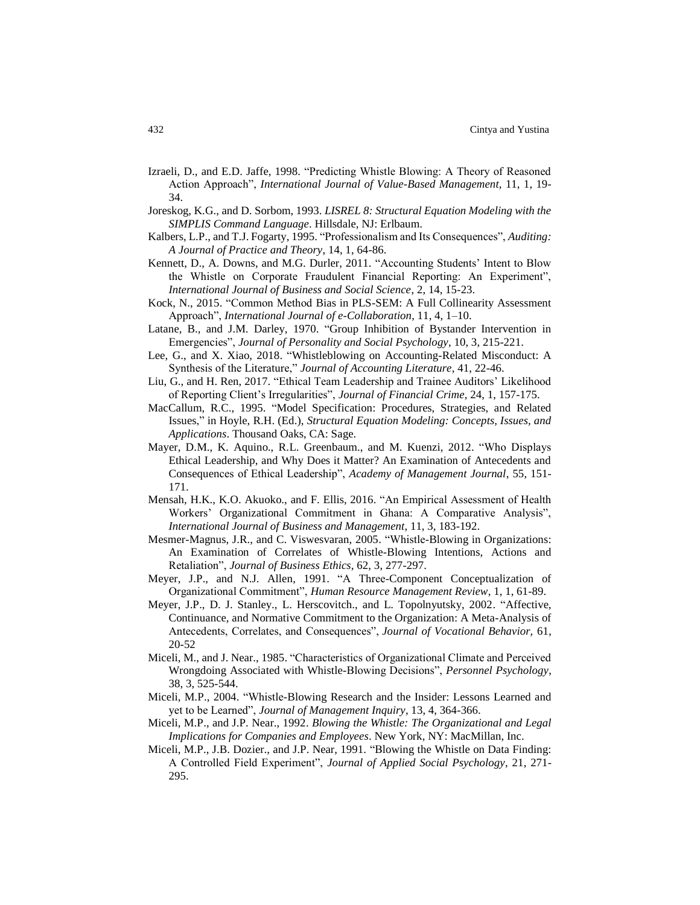- Izraeli, D., and E.D. Jaffe, 1998. "Predicting Whistle Blowing: A Theory of Reasoned Action Approach", *International Journal of Value-Based Management*, 11, 1, 19- 34.
- Joreskog, K.G., and D. Sorbom, 1993. *LISREL 8: Structural Equation Modeling with the SIMPLIS Command Language*. Hillsdale, NJ: Erlbaum.
- Kalbers, L.P., and T.J. Fogarty, 1995. "Professionalism and Its Consequences", *Auditing: A Journal of Practice and Theory*, 14, 1, 64-86.
- Kennett, D., A. Downs, and M.G. Durler, 2011. "Accounting Students' Intent to Blow the Whistle on Corporate Fraudulent Financial Reporting: An Experiment", *International Journal of Business and Social Science*, 2, 14, 15-23.
- Kock, N., 2015. "Common Method Bias in PLS-SEM: A Full Collinearity Assessment Approach", *International Journal of e-Collaboration*, 11, 4, 1–10.
- Latane, B., and J.M. Darley, 1970. "Group Inhibition of Bystander Intervention in Emergencies", *Journal of Personality and Social Psychology*, 10, 3, 215-221.
- Lee, G., and X. Xiao, 2018. "Whistleblowing on Accounting-Related Misconduct: A Synthesis of the Literature," *Journal of Accounting Literature*, 41, 22-46.
- Liu, G., and H. Ren, 2017. "Ethical Team Leadership and Trainee Auditors' Likelihood of Reporting Client's Irregularities", *Journal of Financial Crime*, 24, 1, 157-175.
- MacCallum, R.C., 1995. "Model Specification: Procedures, Strategies, and Related Issues," in Hoyle, R.H. (Ed.), *Structural Equation Modeling: Concepts, Issues, and Applications*. Thousand Oaks, CA: Sage.
- Mayer, D.M., K. Aquino., R.L. Greenbaum., and M. Kuenzi, 2012. "Who Displays Ethical Leadership, and Why Does it Matter? An Examination of Antecedents and Consequences of Ethical Leadership", *Academy of Management Journal*, 55, 151- 171.
- Mensah, H.K., K.O. Akuoko., and F. Ellis, 2016. "An Empirical Assessment of Health Workers' Organizational Commitment in Ghana: A Comparative Analysis", *International Journal of Business and Management*, 11, 3, 183-192.
- Mesmer-Magnus, J.R., and C. Viswesvaran, 2005. "Whistle-Blowing in Organizations: An Examination of Correlates of Whistle-Blowing Intentions, Actions and Retaliation", *Journal of Business Ethics*, 62, 3, 277-297.
- Meyer, J.P., and N.J. Allen, 1991. "A Three-Component Conceptualization of Organizational Commitment", *Human Resource Management Review*, 1, 1, 61-89.
- Meyer, J.P., D. J. Stanley., L. Herscovitch., and L. Topolnyutsky, 2002. "Affective, Continuance, and Normative Commitment to the Organization: A Meta-Analysis of Antecedents, Correlates, and Consequences", *Journal of Vocational Behavior,* 61, 20-52
- Miceli, M., and J. Near., 1985. "Characteristics of Organizational Climate and Perceived Wrongdoing Associated with Whistle-Blowing Decisions", *Personnel Psychology*, 38, 3, 525-544.
- Miceli, M.P., 2004. "Whistle-Blowing Research and the Insider: Lessons Learned and yet to be Learned", *Journal of Management Inquiry*, 13, 4, 364-366.
- Miceli, M.P., and J.P. Near., 1992. *Blowing the Whistle: The Organizational and Legal Implications for Companies and Employees*. New York, NY: MacMillan, Inc.
- Miceli, M.P., J.B. Dozier., and J.P. Near, 1991. "Blowing the Whistle on Data Finding: A Controlled Field Experiment", *Journal of Applied Social Psychology*, 21, 271- 295.